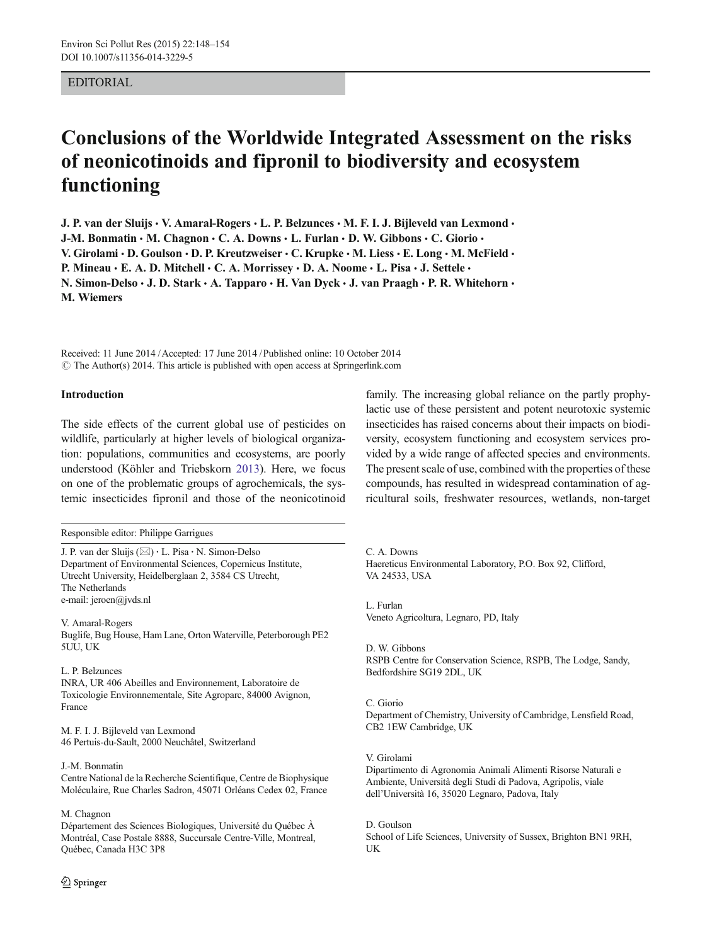# EDITORIAL

# Conclusions of the Worldwide Integrated Assessment on the risks of neonicotinoids and fipronil to biodiversity and ecosystem functioning

J. P. van der Sluijs · V. Amaral-Rogers · L. P. Belzunces · M. F. I. J. Bijleveld van Lexmond · J-M. Bonmatin • M. Chagnon • C. A. Downs • L. Furlan • D. W. Gibbons • C. Giorio •

V. Girolami · D. Goulson · D. P. Kreutzweiser · C. Krupke · M. Liess · E. Long · M. McField ·

P. Mineau  $\cdot$  E. A. D. Mitchell  $\cdot$  C. A. Morrissey  $\cdot$  D. A. Noome  $\cdot$  L. Pisa  $\cdot$  J. Settele  $\cdot$ 

N. Simon-Delso • J. D. Stark • A. Tapparo • H. Van Dyck • J. van Praagh • P. R. Whitehorn •

M. Wiemers

Received: 11 June 2014 /Accepted: 17 June 2014 /Published online: 10 October 2014  $\odot$  The Author(s) 2014. This article is published with open access at Springerlink.com

## Introduction

The side effects of the current global use of pesticides on wildlife, particularly at higher levels of biological organization: populations, communities and ecosystems, are poorly understood (Köhler and Triebskorn [2013](#page-6-0)). Here, we focus on one of the problematic groups of agrochemicals, the systemic insecticides fipronil and those of the neonicotinoid

Responsible editor: Philippe Garrigues

J. P. van der Sluijs (\*) : L. Pisa : N. Simon-Delso Department of Environmental Sciences, Copernicus Institute, Utrecht University, Heidelberglaan 2, 3584 CS Utrecht, The Netherlands e-mail: jeroen@jvds.nl

V. Amaral-Rogers Buglife, Bug House, Ham Lane, Orton Waterville, Peterborough PE2 5UU, UK

#### L. P. Belzunces

INRA, UR 406 Abeilles and Environnement, Laboratoire de Toxicologie Environnementale, Site Agroparc, 84000 Avignon, France

M. F. I. J. Bijleveld van Lexmond 46 Pertuis-du-Sault, 2000 Neuchâtel, Switzerland

## J.<M. Bonmatin

Centre National de la Recherche Scientifique, Centre de Biophysique Moléculaire, Rue Charles Sadron, 45071 Orléans Cedex 02, France

## M. Chagnon

Département des Sciences Biologiques, Université du Québec À Montréal, Case Postale 8888, Succursale Centre-Ville, Montreal, Québec, Canada H3C 3P8

 $\textcircled{2}$  Springer

family. The increasing global reliance on the partly prophylactic use of these persistent and potent neurotoxic systemic insecticides has raised concerns about their impacts on biodiversity, ecosystem functioning and ecosystem services provided by a wide range of affected species and environments. The present scale of use, combined with the properties of these compounds, has resulted in widespread contamination of agricultural soils, freshwater resources, wetlands, non-target

C. A. Downs Haereticus Environmental Laboratory, P.O. Box 92, Clifford, VA 24533, USA

L. Furlan Veneto Agricoltura, Legnaro, PD, Italy

D. W. Gibbons RSPB Centre for Conservation Science, RSPB, The Lodge, Sandy, Bedfordshire SG19 2DL, UK

#### C. Giorio

Department of Chemistry, University of Cambridge, Lensfield Road, CB2 1EW Cambridge, UK

#### V. Girolami

Dipartimento di Agronomia Animali Alimenti Risorse Naturali e Ambiente, Università degli Studi di Padova, Agripolis, viale dell'Università 16, 35020 Legnaro, Padova, Italy

D. Goulson School of Life Sciences, University of Sussex, Brighton BN1 9RH, UK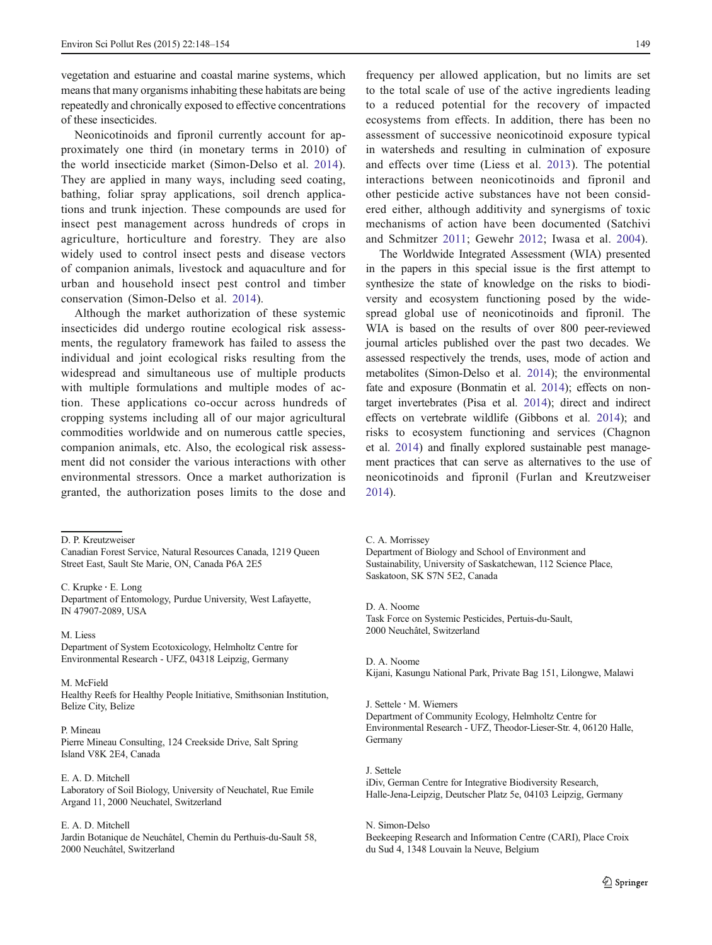vegetation and estuarine and coastal marine systems, which means that many organisms inhabiting these habitats are being repeatedly and chronically exposed to effective concentrations of these insecticides.

Neonicotinoids and fipronil currently account for approximately one third (in monetary terms in 2010) of the world insecticide market (Simon-Delso et al. [2014](#page-6-0)). They are applied in many ways, including seed coating, bathing, foliar spray applications, soil drench applications and trunk injection. These compounds are used for insect pest management across hundreds of crops in agriculture, horticulture and forestry. They are also widely used to control insect pests and disease vectors of companion animals, livestock and aquaculture and for urban and household insect pest control and timber conservation (Simon-Delso et al. [2014\)](#page-6-0).

Although the market authorization of these systemic insecticides did undergo routine ecological risk assessments, the regulatory framework has failed to assess the individual and joint ecological risks resulting from the widespread and simultaneous use of multiple products with multiple formulations and multiple modes of action. These applications co-occur across hundreds of cropping systems including all of our major agricultural commodities worldwide and on numerous cattle species, companion animals, etc. Also, the ecological risk assessment did not consider the various interactions with other environmental stressors. Once a market authorization is granted, the authorization poses limits to the dose and

D. P. Kreutzweiser

Canadian Forest Service, Natural Resources Canada, 1219 Queen Street East, Sault Ste Marie, ON, Canada P6A 2E5

C. Krupke : E. Long Department of Entomology, Purdue University, West Lafayette, IN 47907-2089, USA

#### M. Liess

Department of System Ecotoxicology, Helmholtz Centre for Environmental Research - UFZ, 04318 Leipzig, Germany

M. McField Healthy Reefs for Healthy People Initiative, Smithsonian Institution, Belize City, Belize

P. Mineau Pierre Mineau Consulting, 124 Creekside Drive, Salt Spring Island V8K 2E4, Canada

E. A. D. Mitchell

Laboratory of Soil Biology, University of Neuchatel, Rue Emile Argand 11, 2000 Neuchatel, Switzerland

## E. A. D. Mitchell

Jardin Botanique de Neuchâtel, Chemin du Perthuis-du-Sault 58, 2000 Neuchâtel, Switzerland

frequency per allowed application, but no limits are set to the total scale of use of the active ingredients leading to a reduced potential for the recovery of impacted ecosystems from effects. In addition, there has been no assessment of successive neonicotinoid exposure typical in watersheds and resulting in culmination of exposure and effects over time (Liess et al. [2013](#page-6-0)). The potential interactions between neonicotinoids and fipronil and other pesticide active substances have not been considered either, although additivity and synergisms of toxic mechanisms of action have been documented (Satchivi and Schmitzer [2011;](#page-6-0) Gewehr [2012;](#page-6-0) Iwasa et al. [2004](#page-6-0)).

The Worldwide Integrated Assessment (WIA) presented in the papers in this special issue is the first attempt to synthesize the state of knowledge on the risks to biodiversity and ecosystem functioning posed by the widespread global use of neonicotinoids and fipronil. The WIA is based on the results of over 800 peer-reviewed journal articles published over the past two decades. We assessed respectively the trends, uses, mode of action and metabolites (Simon-Delso et al. [2014\)](#page-6-0); the environmental fate and exposure (Bonmatin et al. [2014\)](#page-6-0); effects on nontarget invertebrates (Pisa et al. [2014\)](#page-6-0); direct and indirect effects on vertebrate wildlife (Gibbons et al. [2014\)](#page-6-0); and risks to ecosystem functioning and services (Chagnon et al. [2014\)](#page-6-0) and finally explored sustainable pest management practices that can serve as alternatives to the use of neonicotinoids and fipronil (Furlan and Kreutzweiser [2014\)](#page-6-0).

C. A. Morrissey Department of Biology and School of Environment and Sustainability, University of Saskatchewan, 112 Science Place, Saskatoon, SK S7N 5E2, Canada

D. A. Noome Task Force on Systemic Pesticides, Pertuis-du-Sault, 2000 Neuchâtel, Switzerland

D. A. Noome Kijani, Kasungu National Park, Private Bag 151, Lilongwe, Malawi

J. Settele : M. Wiemers Department of Community Ecology, Helmholtz Centre for Environmental Research - UFZ, Theodor-Lieser-Str. 4, 06120 Halle, Germany

# J. Settele

iDiv, German Centre for Integrative Biodiversity Research, Halle-Jena-Leipzig, Deutscher Platz 5e, 04103 Leipzig, Germany

N. Simon-Delso Beekeeping Research and Information Centre (CARI), Place Croix du Sud 4, 1348 Louvain la Neuve, Belgium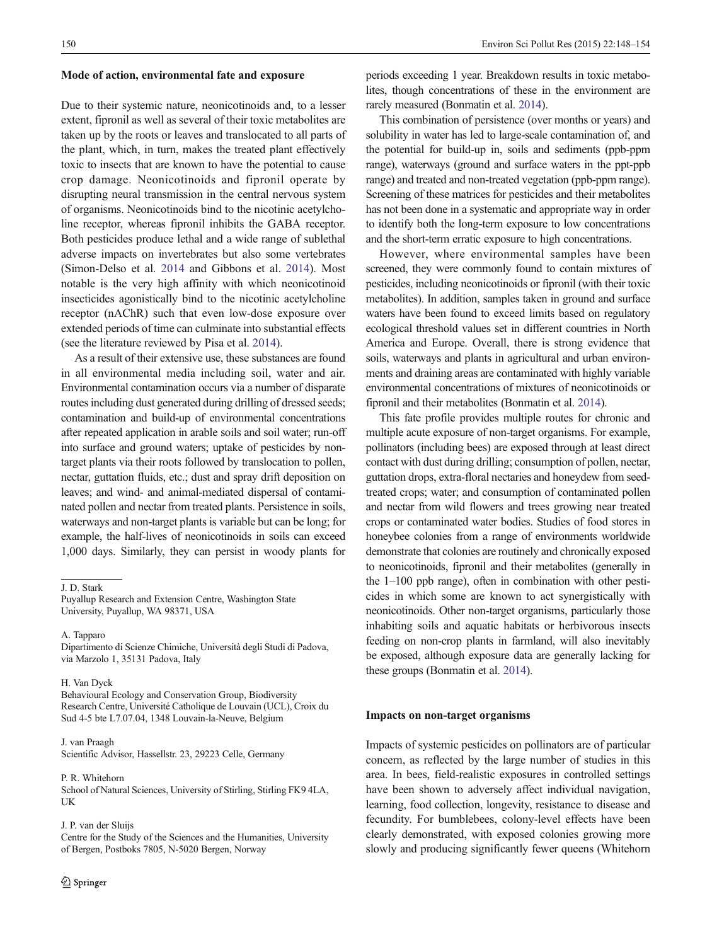## Mode of action, environmental fate and exposure

Due to their systemic nature, neonicotinoids and, to a lesser extent, fipronil as well as several of their toxic metabolites are taken up by the roots or leaves and translocated to all parts of the plant, which, in turn, makes the treated plant effectively toxic to insects that are known to have the potential to cause crop damage. Neonicotinoids and fipronil operate by disrupting neural transmission in the central nervous system of organisms. Neonicotinoids bind to the nicotinic acetylcholine receptor, whereas fipronil inhibits the GABA receptor. Both pesticides produce lethal and a wide range of sublethal adverse impacts on invertebrates but also some vertebrates (Simon-Delso et al. [2014](#page-6-0) and Gibbons et al. [2014](#page-6-0)). Most notable is the very high affinity with which neonicotinoid insecticides agonistically bind to the nicotinic acetylcholine receptor (nAChR) such that even low-dose exposure over extended periods of time can culminate into substantial effects (see the literature reviewed by Pisa et al. [2014\)](#page-6-0).

As a result of their extensive use, these substances are found in all environmental media including soil, water and air. Environmental contamination occurs via a number of disparate routes including dust generated during drilling of dressed seeds; contamination and build-up of environmental concentrations after repeated application in arable soils and soil water; run-off into surface and ground waters; uptake of pesticides by nontarget plants via their roots followed by translocation to pollen, nectar, guttation fluids, etc.; dust and spray drift deposition on leaves; and wind- and animal-mediated dispersal of contaminated pollen and nectar from treated plants. Persistence in soils, waterways and non-target plants is variable but can be long; for example, the half-lives of neonicotinoids in soils can exceed 1,000 days. Similarly, they can persist in woody plants for

J. D. Stark

#### A. Tapparo

Dipartimento di Scienze Chimiche, Università degli Studi di Padova, via Marzolo 1, 35131 Padova, Italy

## H. Van Dyck

Behavioural Ecology and Conservation Group, Biodiversity Research Centre, Université Catholique de Louvain (UCL), Croix du Sud 4-5 bte L7.07.04, 1348 Louvain-la-Neuve, Belgium

### J. van Praagh Scientific Advisor, Hassellstr. 23, 29223 Celle, Germany

#### P. R. Whitehorn

School of Natural Sciences, University of Stirling, Stirling FK9 4LA, UK

## J. P. van der Sluijs

Centre for the Study of the Sciences and the Humanities, University of Bergen, Postboks 7805, N-5020 Bergen, Norway

periods exceeding 1 year. Breakdown results in toxic metabolites, though concentrations of these in the environment are rarely measured (Bonmatin et al. [2014](#page-6-0)).

This combination of persistence (over months or years) and solubility in water has led to large-scale contamination of, and the potential for build-up in, soils and sediments (ppb-ppm range), waterways (ground and surface waters in the ppt-ppb range) and treated and non-treated vegetation (ppb-ppm range). Screening of these matrices for pesticides and their metabolites has not been done in a systematic and appropriate way in order to identify both the long-term exposure to low concentrations and the short-term erratic exposure to high concentrations.

However, where environmental samples have been screened, they were commonly found to contain mixtures of pesticides, including neonicotinoids or fipronil (with their toxic metabolites). In addition, samples taken in ground and surface waters have been found to exceed limits based on regulatory ecological threshold values set in different countries in North America and Europe. Overall, there is strong evidence that soils, waterways and plants in agricultural and urban environments and draining areas are contaminated with highly variable environmental concentrations of mixtures of neonicotinoids or fipronil and their metabolites (Bonmatin et al. [2014\)](#page-6-0).

This fate profile provides multiple routes for chronic and multiple acute exposure of non-target organisms. For example, pollinators (including bees) are exposed through at least direct contact with dust during drilling; consumption of pollen, nectar, guttation drops, extra-floral nectaries and honeydew from seedtreated crops; water; and consumption of contaminated pollen and nectar from wild flowers and trees growing near treated crops or contaminated water bodies. Studies of food stores in honeybee colonies from a range of environments worldwide demonstrate that colonies are routinely and chronically exposed to neonicotinoids, fipronil and their metabolites (generally in the 1–100 ppb range), often in combination with other pesticides in which some are known to act synergistically with neonicotinoids. Other non-target organisms, particularly those inhabiting soils and aquatic habitats or herbivorous insects feeding on non-crop plants in farmland, will also inevitably be exposed, although exposure data are generally lacking for these groups (Bonmatin et al. [2014](#page-6-0)).

# Impacts on non-target organisms

Impacts of systemic pesticides on pollinators are of particular concern, as reflected by the large number of studies in this area. In bees, field-realistic exposures in controlled settings have been shown to adversely affect individual navigation, learning, food collection, longevity, resistance to disease and fecundity. For bumblebees, colony-level effects have been clearly demonstrated, with exposed colonies growing more slowly and producing significantly fewer queens (Whitehorn

Puyallup Research and Extension Centre, Washington State University, Puyallup, WA 98371, USA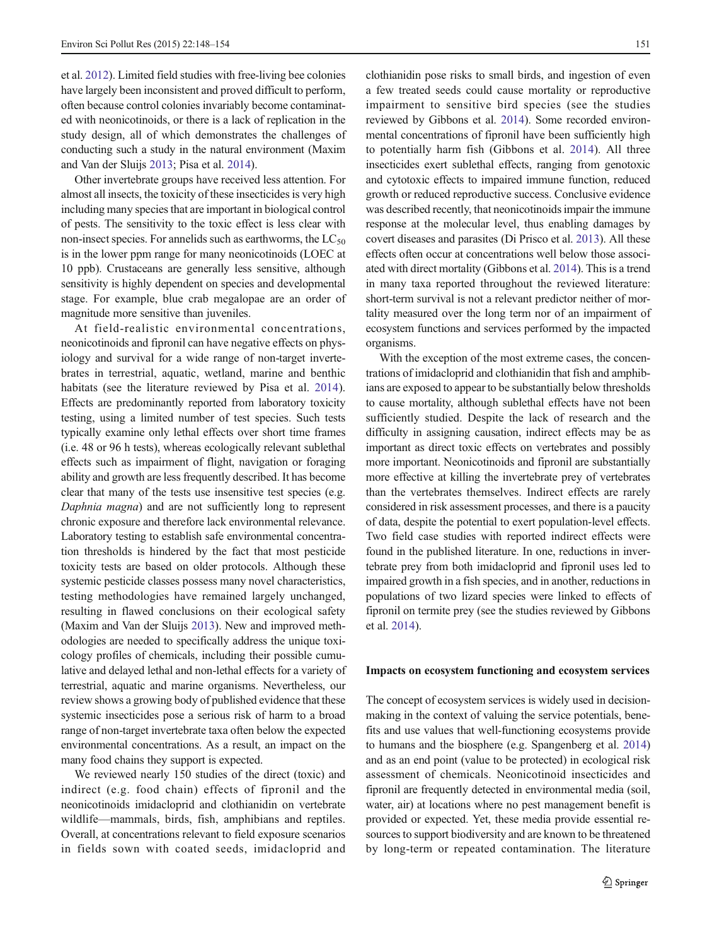et al. [2012\)](#page-6-0). Limited field studies with free-living bee colonies have largely been inconsistent and proved difficult to perform, often because control colonies invariably become contaminated with neonicotinoids, or there is a lack of replication in the study design, all of which demonstrates the challenges of conducting such a study in the natural environment (Maxim and Van der Sluijs [2013;](#page-6-0) Pisa et al. [2014\)](#page-6-0).

Other invertebrate groups have received less attention. For almost all insects, the toxicity of these insecticides is very high including many species that are important in biological control of pests. The sensitivity to the toxic effect is less clear with non-insect species. For annelids such as earthworms, the  $LC_{50}$ is in the lower ppm range for many neonicotinoids (LOEC at 10 ppb). Crustaceans are generally less sensitive, although sensitivity is highly dependent on species and developmental stage. For example, blue crab megalopae are an order of magnitude more sensitive than juveniles.

At field-realistic environmental concentrations, neonicotinoids and fipronil can have negative effects on physiology and survival for a wide range of non-target invertebrates in terrestrial, aquatic, wetland, marine and benthic habitats (see the literature reviewed by Pisa et al. [2014](#page-6-0)). Effects are predominantly reported from laboratory toxicity testing, using a limited number of test species. Such tests typically examine only lethal effects over short time frames (i.e. 48 or 96 h tests), whereas ecologically relevant sublethal effects such as impairment of flight, navigation or foraging ability and growth are less frequently described. It has become clear that many of the tests use insensitive test species (e.g. Daphnia magna) and are not sufficiently long to represent chronic exposure and therefore lack environmental relevance. Laboratory testing to establish safe environmental concentration thresholds is hindered by the fact that most pesticide toxicity tests are based on older protocols. Although these systemic pesticide classes possess many novel characteristics, testing methodologies have remained largely unchanged, resulting in flawed conclusions on their ecological safety (Maxim and Van der Sluijs [2013\)](#page-6-0). New and improved methodologies are needed to specifically address the unique toxicology profiles of chemicals, including their possible cumulative and delayed lethal and non-lethal effects for a variety of terrestrial, aquatic and marine organisms. Nevertheless, our review shows a growing body of published evidence that these systemic insecticides pose a serious risk of harm to a broad range of non-target invertebrate taxa often below the expected environmental concentrations. As a result, an impact on the many food chains they support is expected.

We reviewed nearly 150 studies of the direct (toxic) and indirect (e.g. food chain) effects of fipronil and the neonicotinoids imidacloprid and clothianidin on vertebrate wildlife—mammals, birds, fish, amphibians and reptiles. Overall, at concentrations relevant to field exposure scenarios in fields sown with coated seeds, imidacloprid and clothianidin pose risks to small birds, and ingestion of even a few treated seeds could cause mortality or reproductive impairment to sensitive bird species (see the studies reviewed by Gibbons et al. [2014\)](#page-6-0). Some recorded environmental concentrations of fipronil have been sufficiently high to potentially harm fish (Gibbons et al. [2014](#page-6-0)). All three insecticides exert sublethal effects, ranging from genotoxic and cytotoxic effects to impaired immune function, reduced growth or reduced reproductive success. Conclusive evidence was described recently, that neonicotinoids impair the immune response at the molecular level, thus enabling damages by covert diseases and parasites (Di Prisco et al. [2013\)](#page-6-0). All these effects often occur at concentrations well below those associated with direct mortality (Gibbons et al. [2014\)](#page-6-0). This is a trend in many taxa reported throughout the reviewed literature: short-term survival is not a relevant predictor neither of mortality measured over the long term nor of an impairment of ecosystem functions and services performed by the impacted organisms.

With the exception of the most extreme cases, the concentrations of imidacloprid and clothianidin that fish and amphibians are exposed to appear to be substantially below thresholds to cause mortality, although sublethal effects have not been sufficiently studied. Despite the lack of research and the difficulty in assigning causation, indirect effects may be as important as direct toxic effects on vertebrates and possibly more important. Neonicotinoids and fipronil are substantially more effective at killing the invertebrate prey of vertebrates than the vertebrates themselves. Indirect effects are rarely considered in risk assessment processes, and there is a paucity of data, despite the potential to exert population-level effects. Two field case studies with reported indirect effects were found in the published literature. In one, reductions in invertebrate prey from both imidacloprid and fipronil uses led to impaired growth in a fish species, and in another, reductions in populations of two lizard species were linked to effects of fipronil on termite prey (see the studies reviewed by Gibbons et al. [2014](#page-6-0)).

# Impacts on ecosystem functioning and ecosystem services

The concept of ecosystem services is widely used in decisionmaking in the context of valuing the service potentials, benefits and use values that well-functioning ecosystems provide to humans and the biosphere (e.g. Spangenberg et al. [2014](#page-6-0)) and as an end point (value to be protected) in ecological risk assessment of chemicals. Neonicotinoid insecticides and fipronil are frequently detected in environmental media (soil, water, air) at locations where no pest management benefit is provided or expected. Yet, these media provide essential resources to support biodiversity and are known to be threatened by long-term or repeated contamination. The literature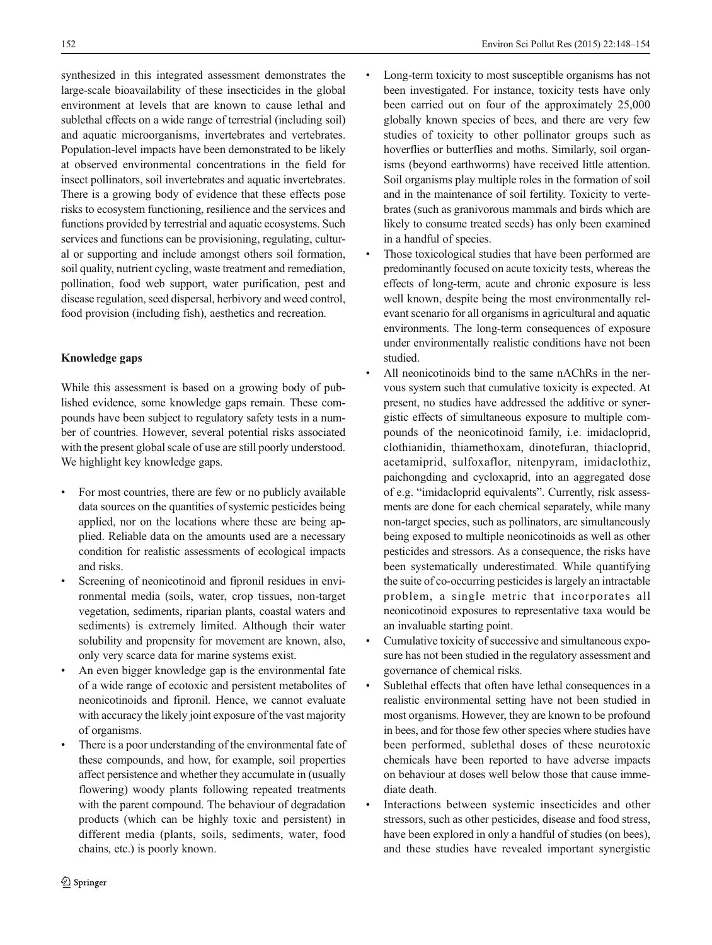synthesized in this integrated assessment demonstrates the large-scale bioavailability of these insecticides in the global environment at levels that are known to cause lethal and sublethal effects on a wide range of terrestrial (including soil) and aquatic microorganisms, invertebrates and vertebrates. Population-level impacts have been demonstrated to be likely at observed environmental concentrations in the field for insect pollinators, soil invertebrates and aquatic invertebrates. There is a growing body of evidence that these effects pose risks to ecosystem functioning, resilience and the services and functions provided by terrestrial and aquatic ecosystems. Such services and functions can be provisioning, regulating, cultural or supporting and include amongst others soil formation, soil quality, nutrient cycling, waste treatment and remediation, pollination, food web support, water purification, pest and disease regulation, seed dispersal, herbivory and weed control, food provision (including fish), aesthetics and recreation.

# Knowledge gaps

While this assessment is based on a growing body of published evidence, some knowledge gaps remain. These compounds have been subject to regulatory safety tests in a number of countries. However, several potential risks associated with the present global scale of use are still poorly understood. We highlight key knowledge gaps.

- & For most countries, there are few or no publicly available data sources on the quantities of systemic pesticides being applied, nor on the locations where these are being applied. Reliable data on the amounts used are a necessary condition for realistic assessments of ecological impacts and risks.
- Screening of neonicotinoid and fipronil residues in environmental media (soils, water, crop tissues, non-target vegetation, sediments, riparian plants, coastal waters and sediments) is extremely limited. Although their water solubility and propensity for movement are known, also, only very scarce data for marine systems exist.
- An even bigger knowledge gap is the environmental fate of a wide range of ecotoxic and persistent metabolites of neonicotinoids and fipronil. Hence, we cannot evaluate with accuracy the likely joint exposure of the vast majority of organisms.
- There is a poor understanding of the environmental fate of these compounds, and how, for example, soil properties affect persistence and whether they accumulate in (usually flowering) woody plants following repeated treatments with the parent compound. The behaviour of degradation products (which can be highly toxic and persistent) in different media (plants, soils, sediments, water, food chains, etc.) is poorly known.
- Long-term toxicity to most susceptible organisms has not been investigated. For instance, toxicity tests have only been carried out on four of the approximately 25,000 globally known species of bees, and there are very few studies of toxicity to other pollinator groups such as hoverflies or butterflies and moths. Similarly, soil organisms (beyond earthworms) have received little attention. Soil organisms play multiple roles in the formation of soil and in the maintenance of soil fertility. Toxicity to vertebrates (such as granivorous mammals and birds which are likely to consume treated seeds) has only been examined in a handful of species.
- Those toxicological studies that have been performed are predominantly focused on acute toxicity tests, whereas the effects of long-term, acute and chronic exposure is less well known, despite being the most environmentally relevant scenario for all organisms in agricultural and aquatic environments. The long-term consequences of exposure under environmentally realistic conditions have not been studied.
- All neonicotinoids bind to the same nAChRs in the nervous system such that cumulative toxicity is expected. At present, no studies have addressed the additive or synergistic effects of simultaneous exposure to multiple compounds of the neonicotinoid family, i.e. imidacloprid, clothianidin, thiamethoxam, dinotefuran, thiacloprid, acetamiprid, sulfoxaflor, nitenpyram, imidaclothiz, paichongding and cycloxaprid, into an aggregated dose of e.g. "imidacloprid equivalents". Currently, risk assessments are done for each chemical separately, while many non-target species, such as pollinators, are simultaneously being exposed to multiple neonicotinoids as well as other pesticides and stressors. As a consequence, the risks have been systematically underestimated. While quantifying the suite of co-occurring pesticides is largely an intractable problem, a single metric that incorporates all neonicotinoid exposures to representative taxa would be an invaluable starting point.
- Cumulative toxicity of successive and simultaneous exposure has not been studied in the regulatory assessment and governance of chemical risks.
- Sublethal effects that often have lethal consequences in a realistic environmental setting have not been studied in most organisms. However, they are known to be profound in bees, and for those few other species where studies have been performed, sublethal doses of these neurotoxic chemicals have been reported to have adverse impacts on behaviour at doses well below those that cause immediate death.
- Interactions between systemic insecticides and other stressors, such as other pesticides, disease and food stress, have been explored in only a handful of studies (on bees), and these studies have revealed important synergistic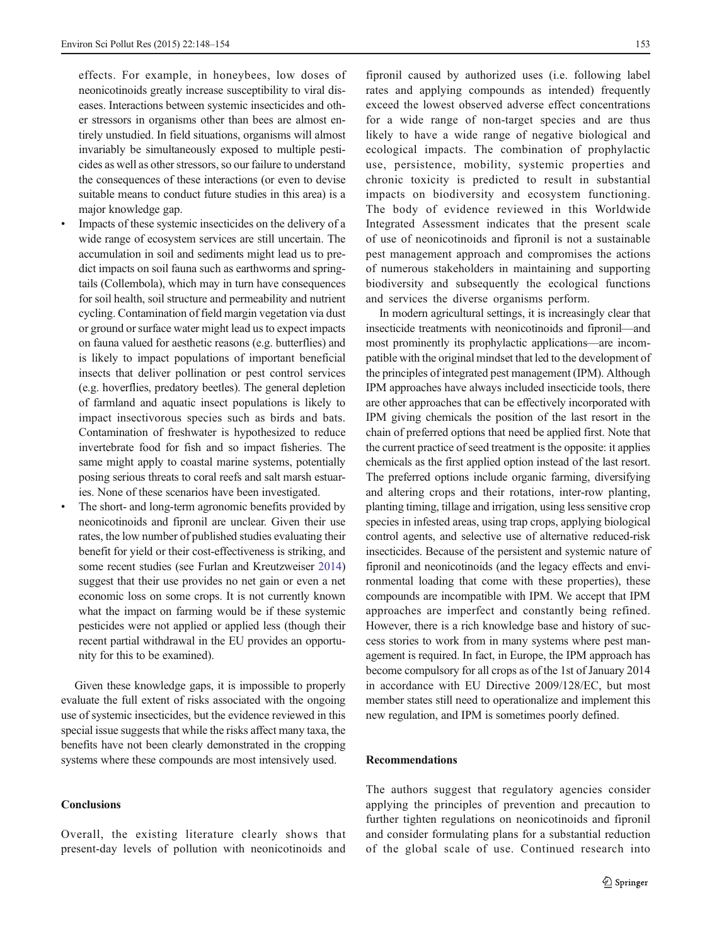effects. For example, in honeybees, low doses of neonicotinoids greatly increase susceptibility to viral diseases. Interactions between systemic insecticides and other stressors in organisms other than bees are almost entirely unstudied. In field situations, organisms will almost invariably be simultaneously exposed to multiple pesticides as well as other stressors, so our failure to understand the consequences of these interactions (or even to devise suitable means to conduct future studies in this area) is a major knowledge gap.

- Impacts of these systemic insecticides on the delivery of a wide range of ecosystem services are still uncertain. The accumulation in soil and sediments might lead us to predict impacts on soil fauna such as earthworms and springtails (Collembola), which may in turn have consequences for soil health, soil structure and permeability and nutrient cycling. Contamination of field margin vegetation via dust or ground or surface water might lead us to expect impacts on fauna valued for aesthetic reasons (e.g. butterflies) and is likely to impact populations of important beneficial insects that deliver pollination or pest control services (e.g. hoverflies, predatory beetles). The general depletion of farmland and aquatic insect populations is likely to impact insectivorous species such as birds and bats. Contamination of freshwater is hypothesized to reduce invertebrate food for fish and so impact fisheries. The same might apply to coastal marine systems, potentially posing serious threats to coral reefs and salt marsh estuaries. None of these scenarios have been investigated.
- The short- and long-term agronomic benefits provided by neonicotinoids and fipronil are unclear. Given their use rates, the low number of published studies evaluating their benefit for yield or their cost-effectiveness is striking, and some recent studies (see Furlan and Kreutzweiser [2014\)](#page-6-0) suggest that their use provides no net gain or even a net economic loss on some crops. It is not currently known what the impact on farming would be if these systemic pesticides were not applied or applied less (though their recent partial withdrawal in the EU provides an opportunity for this to be examined).

Given these knowledge gaps, it is impossible to properly evaluate the full extent of risks associated with the ongoing use of systemic insecticides, but the evidence reviewed in this special issue suggests that while the risks affect many taxa, the benefits have not been clearly demonstrated in the cropping systems where these compounds are most intensively used.

# **Conclusions**

Overall, the existing literature clearly shows that present-day levels of pollution with neonicotinoids and

fipronil caused by authorized uses (i.e. following label rates and applying compounds as intended) frequently exceed the lowest observed adverse effect concentrations for a wide range of non-target species and are thus likely to have a wide range of negative biological and ecological impacts. The combination of prophylactic use, persistence, mobility, systemic properties and chronic toxicity is predicted to result in substantial impacts on biodiversity and ecosystem functioning. The body of evidence reviewed in this Worldwide Integrated Assessment indicates that the present scale of use of neonicotinoids and fipronil is not a sustainable pest management approach and compromises the actions of numerous stakeholders in maintaining and supporting biodiversity and subsequently the ecological functions and services the diverse organisms perform.

In modern agricultural settings, it is increasingly clear that insecticide treatments with neonicotinoids and fipronil—and most prominently its prophylactic applications—are incompatible with the original mindset that led to the development of the principles of integrated pest management (IPM). Although IPM approaches have always included insecticide tools, there are other approaches that can be effectively incorporated with IPM giving chemicals the position of the last resort in the chain of preferred options that need be applied first. Note that the current practice of seed treatment is the opposite: it applies chemicals as the first applied option instead of the last resort. The preferred options include organic farming, diversifying and altering crops and their rotations, inter-row planting, planting timing, tillage and irrigation, using less sensitive crop species in infested areas, using trap crops, applying biological control agents, and selective use of alternative reduced-risk insecticides. Because of the persistent and systemic nature of fipronil and neonicotinoids (and the legacy effects and environmental loading that come with these properties), these compounds are incompatible with IPM. We accept that IPM approaches are imperfect and constantly being refined. However, there is a rich knowledge base and history of success stories to work from in many systems where pest management is required. In fact, in Europe, the IPM approach has become compulsory for all crops as of the 1st of January 2014 in accordance with EU Directive 2009/128/EC, but most member states still need to operationalize and implement this new regulation, and IPM is sometimes poorly defined.

# Recommendations

The authors suggest that regulatory agencies consider applying the principles of prevention and precaution to further tighten regulations on neonicotinoids and fipronil and consider formulating plans for a substantial reduction of the global scale of use. Continued research into